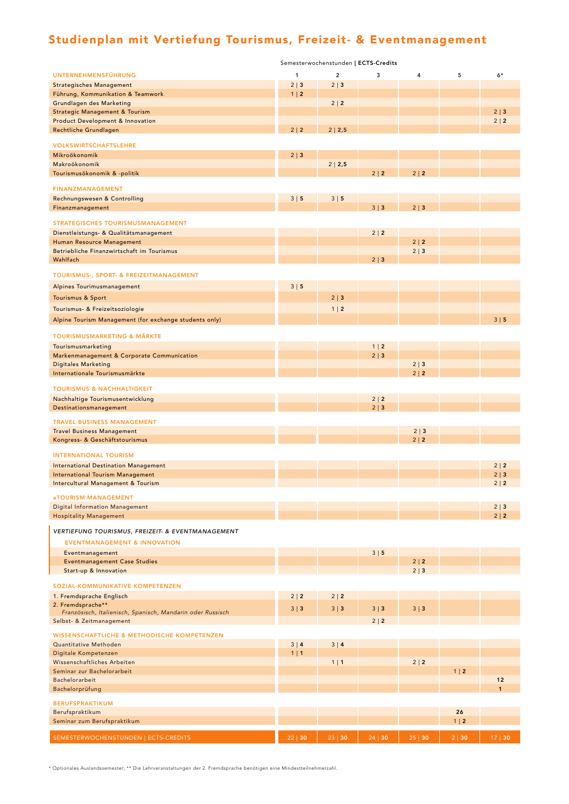## Studienplan mit Vertiefung Tourismus, Freizeit- & Eventmanagement

|                                                                       | Semesterwochenstunden   ECTS-Credits |                |            |            |            |              |  |  |  |
|-----------------------------------------------------------------------|--------------------------------------|----------------|------------|------------|------------|--------------|--|--|--|
| <b>UNTERNEHMENSFÜHRUNG</b>                                            | $\mathbf{1}$                         | $\overline{2}$ | 3          | 4          | 5          | $6*$         |  |  |  |
| <b>Strategisches Management</b>                                       | $2 \mid 3$                           | $2 \mid 3$     |            |            |            |              |  |  |  |
| Führung, Kommunikation & Teamwork                                     | $1 \mid 2$                           |                |            |            |            |              |  |  |  |
| Grundlagen des Marketing<br><b>Strategic Management &amp; Tourism</b> |                                      | $2 \mid 2$     |            |            |            | $2 \mid 3$   |  |  |  |
| <b>Product Development &amp; Innovation</b>                           |                                      |                |            |            |            | $2 \mid 2$   |  |  |  |
| Rechtliche Grundlagen                                                 | 2 2                                  | 2   2,5        |            |            |            |              |  |  |  |
| <b>VOLKSWIRTSCHAFTSLEHRE</b>                                          |                                      |                |            |            |            |              |  |  |  |
| Mikroökonomik                                                         | $2 \mid 3$                           |                |            |            |            |              |  |  |  |
| Makroökonomik                                                         |                                      | 2   2,5        |            |            |            |              |  |  |  |
| Tourismusökonomik & -politik                                          |                                      |                | 2 2        | 2 2        |            |              |  |  |  |
| <b>FINANZMANAGEMENT</b>                                               |                                      |                |            |            |            |              |  |  |  |
| Rechnungswesen & Controlling                                          | 3 5                                  | 3 5            |            |            |            |              |  |  |  |
| Finanzmanagement                                                      |                                      |                | $3 \mid 3$ | $2 \mid 3$ |            |              |  |  |  |
| <b>STRATEGISCHES TOURISMUSMANAGEMENT</b>                              |                                      |                |            |            |            |              |  |  |  |
|                                                                       |                                      |                | $2 \mid 2$ |            |            |              |  |  |  |
| Dienstleistungs- & Qualitätsmanagement<br>Human Resource Management   |                                      |                |            | 2 2        |            |              |  |  |  |
| Betriebliche Finanzwirtschaft im Tourismus                            |                                      |                |            | $2 \mid 3$ |            |              |  |  |  |
| Wahlfach                                                              |                                      |                | $2 \mid 3$ |            |            |              |  |  |  |
| TOURISMUS-, SPORT- & FREIZEITMANAGEMENT                               |                                      |                |            |            |            |              |  |  |  |
| Alpines Tourimusmanagement                                            | 3 5                                  |                |            |            |            |              |  |  |  |
| Tourismus & Sport                                                     |                                      | $2 \mid 3$     |            |            |            |              |  |  |  |
|                                                                       |                                      |                |            |            |            |              |  |  |  |
| Tourismus- & Freizeitsoziologie                                       |                                      | $1 \mid 2$     |            |            |            |              |  |  |  |
| Alpine Tourism Management (for exchange students only)                |                                      |                |            |            |            | 3 5          |  |  |  |
| <b>TOURISMUSMARKETING &amp; MÄRKTE</b>                                |                                      |                |            |            |            |              |  |  |  |
| Tourismusmarketing                                                    |                                      |                | $1 \mid 2$ |            |            |              |  |  |  |
| Markenmanagement & Corporate Communication                            |                                      |                | $2 \mid 3$ |            |            |              |  |  |  |
| <b>Digitales Marketing</b>                                            |                                      |                |            | $2 \mid 3$ |            |              |  |  |  |
| Internationale Tourismusmärkte                                        |                                      |                |            | 2 2        |            |              |  |  |  |
| <b>TOURISMUS &amp; NACHHALTIGKEIT</b>                                 |                                      |                |            |            |            |              |  |  |  |
| Nachhaltige Tourismusentwicklung                                      |                                      |                | 2 2        |            |            |              |  |  |  |
| Destinationsmanagement                                                |                                      |                | $2 \mid 3$ |            |            |              |  |  |  |
| <b>TRAVEL BUSINESS MANAGEMENT</b>                                     |                                      |                |            |            |            |              |  |  |  |
| <b>Travel Business Management</b>                                     |                                      |                |            | $2 \mid 3$ |            |              |  |  |  |
| Kongress- & Geschäftstourismus                                        |                                      |                |            | $2 \mid 2$ |            |              |  |  |  |
| <b>INTERNATIONAL TOURISM</b>                                          |                                      |                |            |            |            |              |  |  |  |
| <b>International Destination Management</b>                           |                                      |                |            |            |            | 2 2          |  |  |  |
| <b>International Tourism Management</b>                               |                                      |                |            |            |            | $2 \mid 3$   |  |  |  |
| Intercultural Management & Tourism                                    |                                      |                |            |            |            | 2 2          |  |  |  |
| eTOURISM MANAGEMENT                                                   |                                      |                |            |            |            |              |  |  |  |
| <b>Digital Information Management</b>                                 |                                      |                |            |            |            | $2 \mid 3$   |  |  |  |
| <b>Hospitality Management</b>                                         |                                      |                |            |            |            | 2 2          |  |  |  |
| VERTIEFUNG TOURISMUS, FREIZEIT- & EVENTMANAGEMENT                     |                                      |                |            |            |            |              |  |  |  |
| <b>EVENTMANAGEMENT &amp; INNOVATION</b>                               |                                      |                |            |            |            |              |  |  |  |
| Eventmanagement                                                       |                                      |                | 3 5        |            |            |              |  |  |  |
| <b>Eventmanagement Case Studies</b>                                   |                                      |                |            | 2 2        |            |              |  |  |  |
| Start-up & Innovation                                                 |                                      |                |            | $2 \mid 3$ |            |              |  |  |  |
| SOZIAL-KOMMUNIKATIVE KOMPETENZEN                                      |                                      |                |            |            |            |              |  |  |  |
| 1. Fremdsprache Englisch                                              | 2 2                                  | $2 \mid 2$     |            |            |            |              |  |  |  |
| 2. Fremdsprache**                                                     | $3 \mid 3$                           | $3 \mid 3$     | $3 \mid 3$ | $3 \mid 3$ |            |              |  |  |  |
| Französisch, Italienisch, Spanisch, Mandarin oder Russisch            |                                      |                |            |            |            |              |  |  |  |
| Selbst- & Zeitmanagement                                              |                                      |                | $2 \mid 2$ |            |            |              |  |  |  |
| WISSENSCHAFTLICHE & METHODISCHE KOMPETENZEN                           |                                      |                |            |            |            |              |  |  |  |
| Quantitative Methoden                                                 | 3 4                                  | 3 4            |            |            |            |              |  |  |  |
| Digitale Kompetenzen<br>Wissenschaftliches Arbeiten                   | $1 \mid 1$                           | $1 \mid 1$     |            | 2   2      |            |              |  |  |  |
| Seminar zur Bachelorarbeit                                            |                                      |                |            |            | $1 \mid 2$ |              |  |  |  |
| Bachelorarbeit                                                        |                                      |                |            |            |            | 12           |  |  |  |
| Bachelorprüfung                                                       |                                      |                |            |            |            | $\mathbf{1}$ |  |  |  |
| <b>BERUFSPRAKTIKUM</b>                                                |                                      |                |            |            |            |              |  |  |  |
| Berufspraktikum                                                       |                                      |                |            |            | 26         |              |  |  |  |
| Seminar zum Berufspraktikum                                           |                                      |                |            |            | $1 \mid 2$ |              |  |  |  |
| SEMESTERWOCHENSTUNDEN   ECTS-CREDITS                                  | 22   30                              | 23   30        | 24 30      | 25 30      | 2   30     | 17   30      |  |  |  |

\* Optionales Auslandssemester; \*\* Die Lehrveranstaltungen der 2. Fremdsprache benötigen eine Mindestteilnehmerzahl.